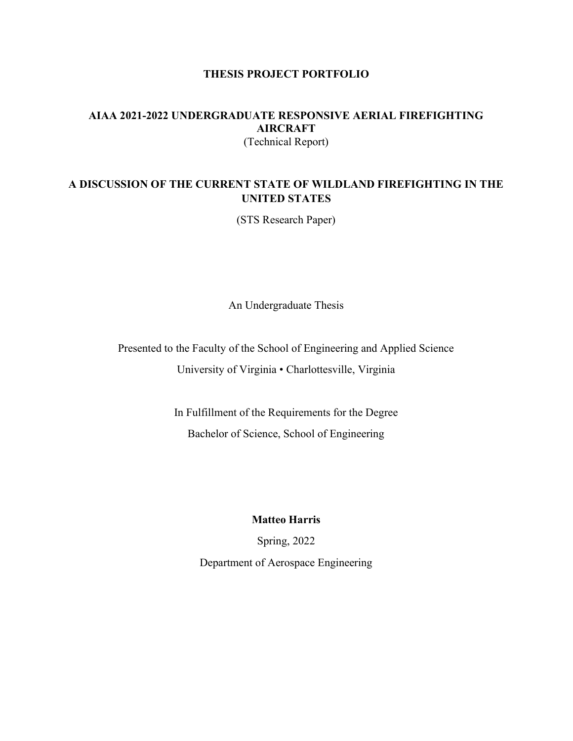### THESIS PROJECT PORTFOLIO

#### AIAA 2021-2022 UNDERGRADUATE RESPONSIVE AERIAL FIREFIGHTING AIRCRAFT (Technical Report)

### A DISCUSSION OF THE CURRENT STATE OF WILDLAND FIREFIGHTING IN THE UNITED STATES

(STS Research Paper)

An Undergraduate Thesis

Presented to the Faculty of the School of Engineering and Applied Science University of Virginia • Charlottesville, Virginia

> In Fulfillment of the Requirements for the Degree Bachelor of Science, School of Engineering

> > Matteo Harris

Spring, 2022

Department of Aerospace Engineering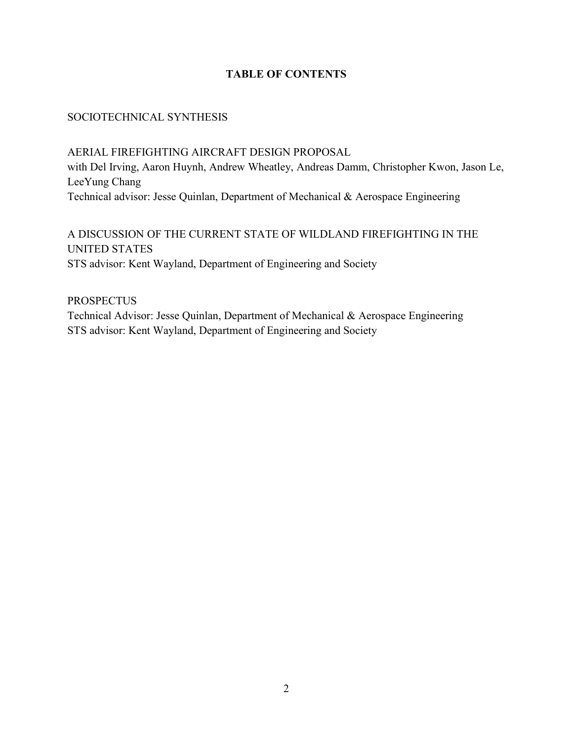## TABLE OF CONTENTS

## SOCIOTECHNICAL SYNTHESIS

AERIAL FIREFIGHTING AIRCRAFT DESIGN PROPOSAL with Del Irving, Aaron Huynh, Andrew Wheatley, Andreas Damm, Christopher Kwon, Jason Le, LeeYung Chang Technical advisor: Jesse Quinlan, Department of Mechanical & Aerospace Engineering

# A DISCUSSION OF THE CURRENT STATE OF WILDLAND FIREFIGHTING IN THE UNITED STATES STS advisor: Kent Wayland, Department of Engineering and Society

**PROSPECTUS** Technical Advisor: Jesse Quinlan, Department of Mechanical & Aerospace Engineering STS advisor: Kent Wayland, Department of Engineering and Society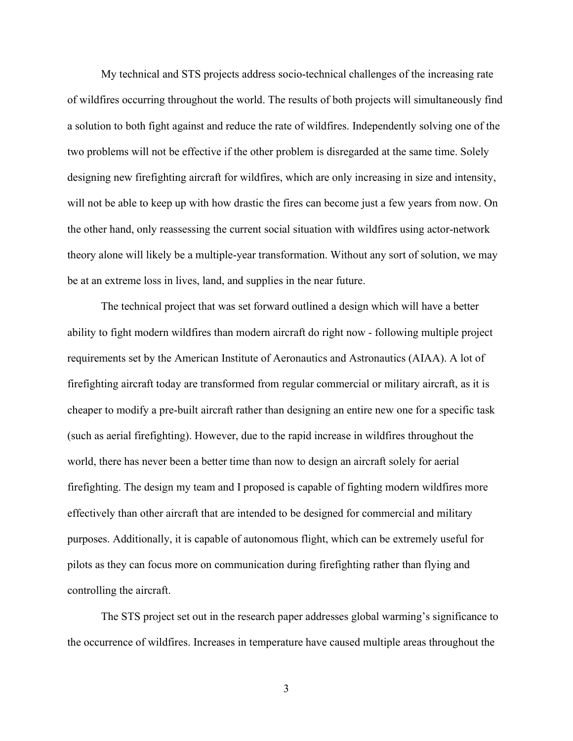My technical and STS projects address socio-technical challenges of the increasing rate of wildfires occurring throughout the world. The results of both projects will simultaneously find a solution to both fight against and reduce the rate of wildfires. Independently solving one of the two problems will not be effective if the other problem is disregarded at the same time. Solely designing new firefighting aircraft for wildfires, which are only increasing in size and intensity, will not be able to keep up with how drastic the fires can become just a few years from now. On the other hand, only reassessing the current social situation with wildfires using actor-network theory alone will likely be a multiple-year transformation. Without any sort of solution, we may be at an extreme loss in lives, land, and supplies in the near future.

The technical project that was set forward outlined a design which will have a better ability to fight modern wildfires than modern aircraft do right now - following multiple project requirements set by the American Institute of Aeronautics and Astronautics (AIAA). A lot of firefighting aircraft today are transformed from regular commercial or military aircraft, as it is cheaper to modify a pre-built aircraft rather than designing an entire new one for a specific task (such as aerial firefighting). However, due to the rapid increase in wildfires throughout the world, there has never been a better time than now to design an aircraft solely for aerial firefighting. The design my team and I proposed is capable of fighting modern wildfires more effectively than other aircraft that are intended to be designed for commercial and military purposes. Additionally, it is capable of autonomous flight, which can be extremely useful for pilots as they can focus more on communication during firefighting rather than flying and controlling the aircraft.

The STS project set out in the research paper addresses global warming's significance to the occurrence of wildfires. Increases in temperature have caused multiple areas throughout the

3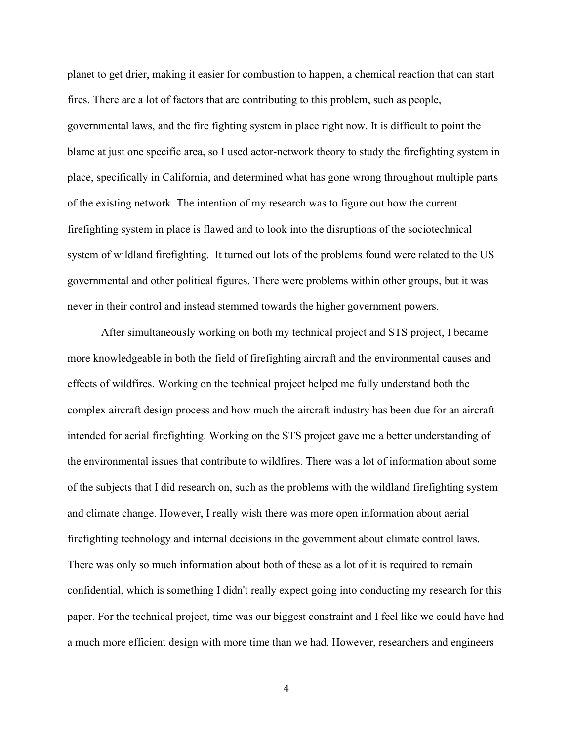planet to get drier, making it easier for combustion to happen, a chemical reaction that can start fires. There are a lot of factors that are contributing to this problem, such as people, governmental laws, and the fire fighting system in place right now. It is difficult to point the blame at just one specific area, so I used actor-network theory to study the firefighting system in place, specifically in California, and determined what has gone wrong throughout multiple parts of the existing network. The intention of my research was to figure out how the current firefighting system in place is flawed and to look into the disruptions of the sociotechnical system of wildland firefighting. It turned out lots of the problems found were related to the US governmental and other political figures. There were problems within other groups, but it was never in their control and instead stemmed towards the higher government powers.

After simultaneously working on both my technical project and STS project, I became more knowledgeable in both the field of firefighting aircraft and the environmental causes and effects of wildfires. Working on the technical project helped me fully understand both the complex aircraft design process and how much the aircraft industry has been due for an aircraft intended for aerial firefighting. Working on the STS project gave me a better understanding of the environmental issues that contribute to wildfires. There was a lot of information about some of the subjects that I did research on, such as the problems with the wildland firefighting system and climate change. However, I really wish there was more open information about aerial firefighting technology and internal decisions in the government about climate control laws. There was only so much information about both of these as a lot of it is required to remain confidential, which is something I didn't really expect going into conducting my research for this paper. For the technical project, time was our biggest constraint and I feel like we could have had a much more efficient design with more time than we had. However, researchers and engineers

4